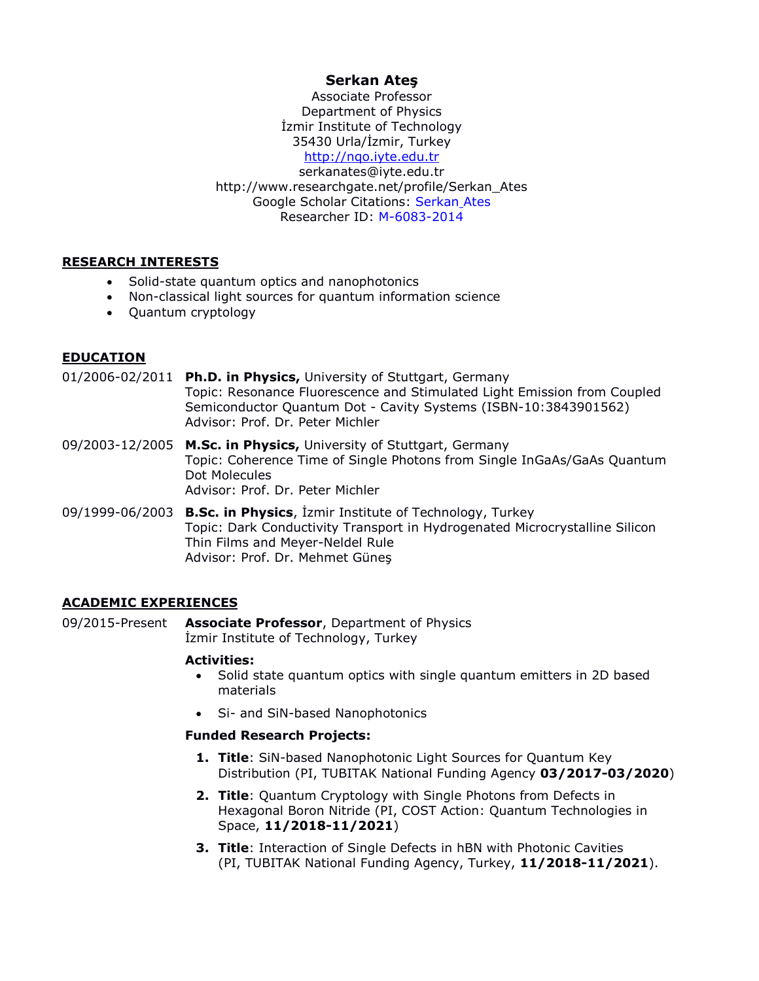# **Serkan Ateş**

Associate Professor Department of Physics İzmir Institute of Technology 35430 Urla/İzmir, Turkey [http://nqo.iyte.edu.tr](http://nqo.iyte.edu.tr/) serkanates@iyte.edu.tr http://www.researchgate.net/profile/Serkan\_Ates Google Scholar Citations: [Serkan](https://scholar.google.com/citations?user=vlL6nHIAAAAJ&hl=tr) Ates Researcher ID: [M-6083-2014](http://www.researcherid.com/rid/M-6083-2014)

## **RESEARCH INTERESTS**

- Solid-state quantum optics and nanophotonics
- Non-classical light sources for quantum information science
- Quantum cryptology

## **EDUCATION**

01/2006-02/2011 **Ph.D. in Physics,** University of Stuttgart, Germany Topic: Resonance Fluorescence and Stimulated Light Emission from Coupled Semiconductor Quantum Dot - Cavity Systems (ISBN-10:3843901562) Advisor: Prof. Dr. Peter Michler

- 09/2003-12/2005 **M.Sc. in Physics,** University of Stuttgart, Germany Topic: Coherence Time of Single Photons from Single InGaAs/GaAs Quantum Dot Molecules Advisor: Prof. Dr. Peter Michler
- 09/1999-06/2003 **B.Sc. in Physics**, İzmir Institute of Technology, Turkey Topic: Dark Conductivity Transport in Hydrogenated Microcrystalline Silicon Thin Films and Meyer-Neldel Rule Advisor: Prof. Dr. Mehmet Güneş

## **ACADEMIC EXPERIENCES**

09/2015-Present **Associate Professor**, Department of Physics İzmir Institute of Technology, Turkey

### **Activities:**

- Solid state quantum optics with single quantum emitters in 2D based materials
- Si- and SiN-based Nanophotonics

### **Funded Research Projects:**

- **1. Title**: SiN-based Nanophotonic Light Sources for Quantum Key Distribution (PI, TUBITAK National Funding Agency **03/2017-03/2020**)
- **2. Title**: Quantum Cryptology with Single Photons from Defects in Hexagonal Boron Nitride (PI, COST Action: Quantum Technologies in Space, **11/2018-11/2021**)
- **3. Title**: Interaction of Single Defects in hBN with Photonic Cavities (PI, TUBITAK National Funding Agency, Turkey, **11/2018-11/2021**).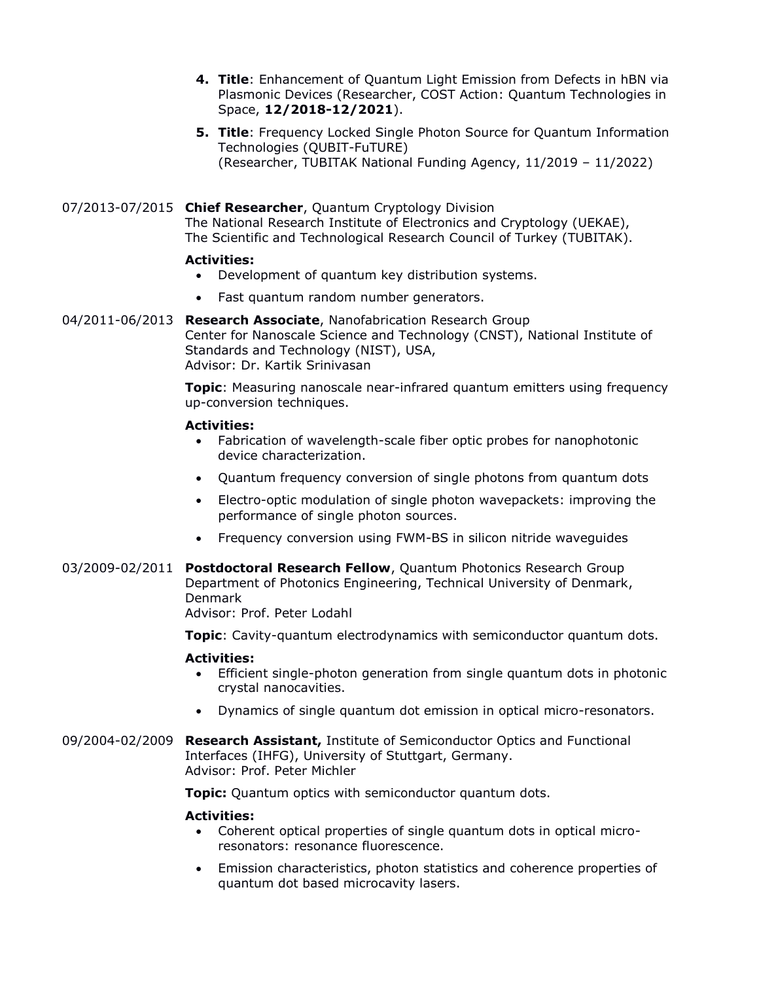- **4. Title**: Enhancement of Quantum Light Emission from Defects in hBN via Plasmonic Devices (Researcher, COST Action: Quantum Technologies in Space, **12/2018-12/2021**).
- **5. Title**: Frequency Locked Single Photon Source for Quantum Information Technologies (QUBIT-FuTURE) (Researcher, TUBITAK National Funding Agency, 11/2019 – 11/2022)

07/2013-07/2015 **Chief Researcher**, Quantum Cryptology Division

The National Research Institute of Electronics and Cryptology (UEKAE), The Scientific and Technological Research Council of Turkey (TUBITAK).

### **Activities:**

- Development of quantum key distribution systems.
- Fast quantum random number generators.

04/2011-06/2013 **Research Associate**, Nanofabrication Research Group Center for Nanoscale Science and Technology (CNST), National Institute of Standards and Technology (NIST), USA, Advisor: Dr. Kartik Srinivasan

> **Topic**: Measuring nanoscale near-infrared quantum emitters using frequency up-conversion techniques.

### **Activities:**

- Fabrication of wavelength-scale fiber optic probes for nanophotonic device characterization.
- Quantum frequency conversion of single photons from quantum dots
- Electro-optic modulation of single photon wavepackets: improving the performance of single photon sources.
- Frequency conversion using FWM-BS in silicon nitride waveguides
- 03/2009-02/2011 **Postdoctoral Research Fellow**, Quantum Photonics Research Group Department of Photonics Engineering, Technical University of Denmark, Denmark

Advisor: Prof. Peter Lodahl

**Topic**: Cavity-quantum electrodynamics with semiconductor quantum dots.

### **Activities:**

- Efficient single-photon generation from single quantum dots in photonic crystal nanocavities.
- Dynamics of single quantum dot emission in optical micro-resonators.
- 09/2004-02/2009 **Research Assistant,** Institute of Semiconductor Optics and Functional Interfaces (IHFG), University of Stuttgart, Germany. Advisor: Prof. Peter Michler

**Topic:** Quantum optics with semiconductor quantum dots.

### **Activities:**

- Coherent optical properties of single quantum dots in optical microresonators: resonance fluorescence.
- Emission characteristics, photon statistics and coherence properties of quantum dot based microcavity lasers.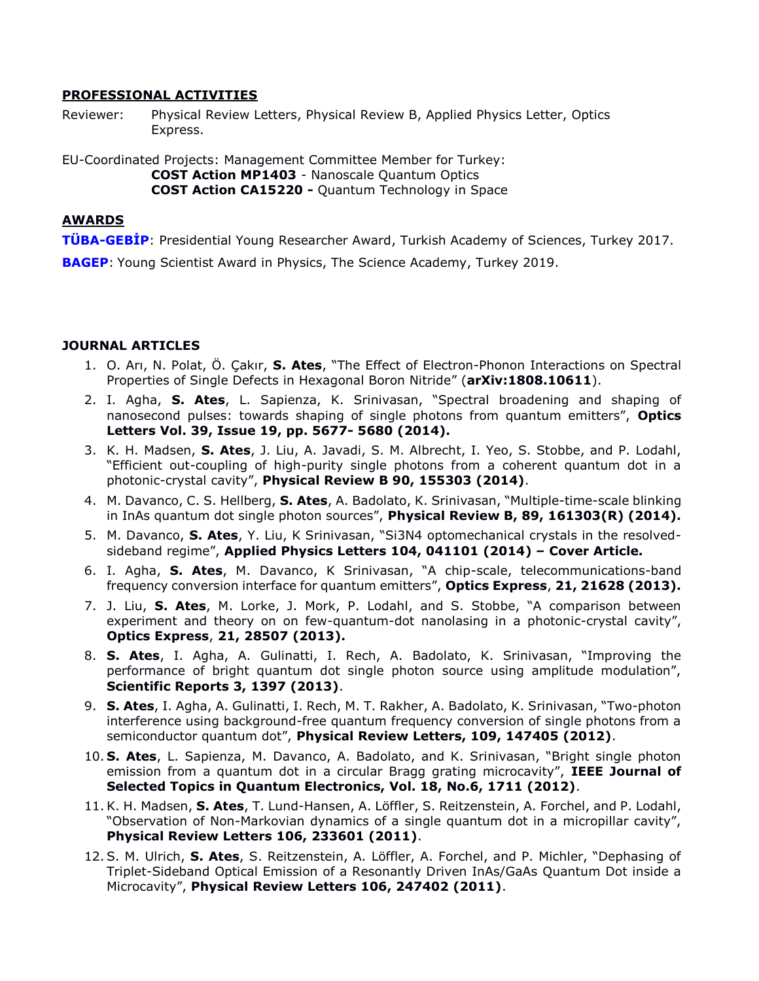### **PROFESSIONAL ACTIVITIES**

Reviewer: Physical Review Letters, Physical Review B, Applied Physics Letter, Optics Express.

EU-Coordinated Projects: Management Committee Member for Turkey: **COST Action MP1403** - Nanoscale Quantum Optics **COST Action CA15220 -** Quantum Technology in Space

#### **AWARDS**

**TÜBA-[GEBİP](http://www.tuba.gov.tr/upload/files/GEBIP2017Kazananlar(1).pdf)**: Presidential Young Researcher Award, Turkish Academy of Sciences, Turkey 2017.

**[BAGEP](https://bilimakademisi.org/bagep-2019-odul-kazananlar/)**: Young Scientist Award in Physics, The Science Academy, Turkey 2019.

### **JOURNAL ARTICLES**

- 1. O. Arı, N. Polat, Ö. Çakır, **S. Ates**, "The Effect of Electron-Phonon Interactions on Spectral Properties of Single Defects in Hexagonal Boron Nitride" (**arXiv:1808.10611**).
- 2. I. Agha, **S. Ates**, L. Sapienza, K. Srinivasan, "Spectral broadening and shaping of nanosecond pulses: towards shaping of single photons from quantum emitters", **Optics Letters Vol. 39, Issue 19, pp. 5677- 5680 (2014).**
- 3. K. H. Madsen, **S. Ates**, J. Liu, A. Javadi, S. M. Albrecht, I. Yeo, S. Stobbe, and P. Lodahl, "Efficient out-coupling of high-purity single photons from a coherent quantum dot in a photonic-crystal cavity", **Physical Review B 90, 155303 (2014)**.
- 4. M. Davanco, C. S. Hellberg, **S. Ates**, A. Badolato, K. Srinivasan, "Multiple-time-scale blinking in InAs quantum dot single photon sources", **Physical Review B, 89, 161303(R) (2014).**
- 5. M. Davanco, **S. Ates**, Y. Liu, K Srinivasan, "Si3N4 optomechanical crystals in the resolvedsideband regime", **Applied Physics Letters 104, 041101 (2014) – Cover Article.**
- 6. I. Agha, **S. Ates**, M. Davanco, K Srinivasan, "A chip-scale, telecommunications-band frequency conversion interface for quantum emitters", **Optics Express**, **21, 21628 (2013).**
- 7. J. Liu, **S. Ates**, M. Lorke, J. Mork, P. Lodahl, and S. Stobbe, "A comparison between experiment and theory on on few-quantum-dot nanolasing in a photonic-crystal cavity", **Optics Express**, **21, 28507 (2013).**
- 8. **S. Ates**, I. Agha, A. Gulinatti, I. Rech, A. Badolato, K. Srinivasan, "Improving the performance of bright quantum dot single photon source using amplitude modulation", **Scientific Reports 3, 1397 (2013)**.
- 9. **S. Ates**, I. Agha, A. Gulinatti, I. Rech, M. T. Rakher, A. Badolato, K. Srinivasan, "Two-photon interference using background-free quantum frequency conversion of single photons from a semiconductor quantum dot", **Physical Review Letters, 109, 147405 (2012)**.
- 10. **S. Ates**, L. Sapienza, M. Davanco, A. Badolato, and K. Srinivasan, "Bright single photon emission from a quantum dot in a circular Bragg grating microcavity", **IEEE Journal of Selected Topics in Quantum Electronics, Vol. 18, No.6, 1711 (2012)**.
- 11.K. H. Madsen, **S. Ates**, T. Lund-Hansen, A. Löffler, S. Reitzenstein, A. Forchel, and P. Lodahl, "Observation of Non-Markovian dynamics of a single quantum dot in a micropillar cavity", **Physical Review Letters 106, 233601 (2011)**.
- 12.S. M. Ulrich, **S. Ates**, S. Reitzenstein, A. Löffler, A. Forchel, and P. Michler, "Dephasing of Triplet-Sideband Optical Emission of a Resonantly Driven InAs/GaAs Quantum Dot inside a Microcavity", **Physical Review Letters 106, 247402 (2011)**.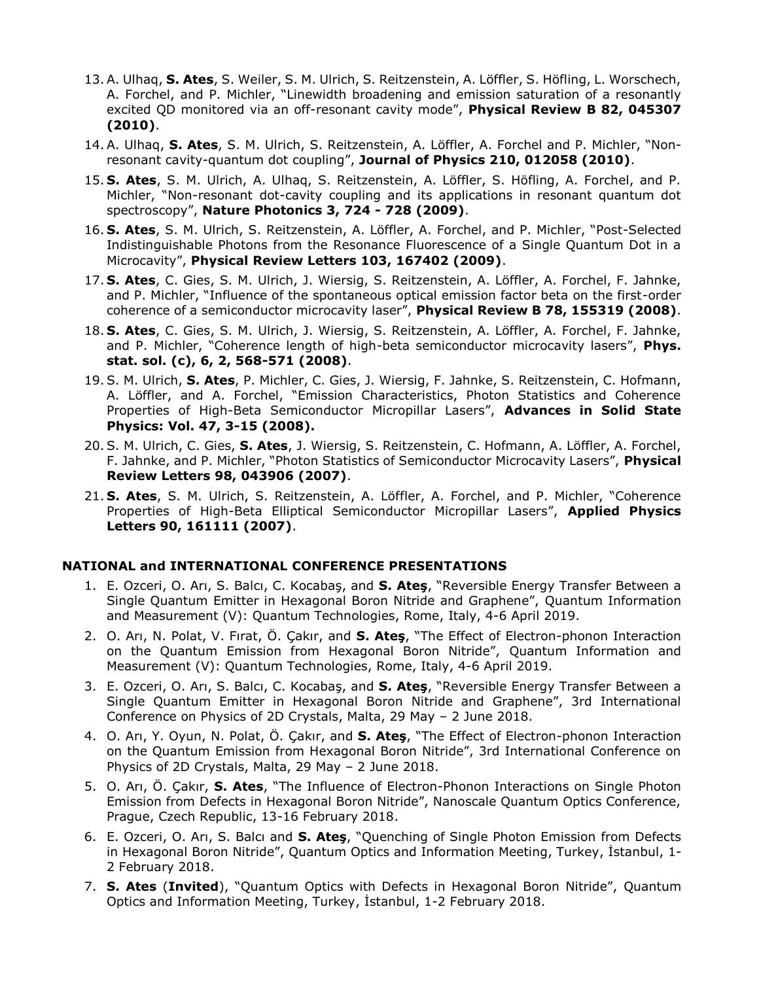- 13.A. Ulhaq, **S. Ates**, S. Weiler, S. M. Ulrich, S. Reitzenstein, A. Löffler, S. Höfling, L. Worschech, A. Forchel, and P. Michler, "Linewidth broadening and emission saturation of a resonantly excited QD monitored via an off-resonant cavity mode", **Physical Review B 82, 045307 (2010)**.
- 14.A. Ulhaq, **S. Ates**, S. M. Ulrich, S. Reitzenstein, A. Löffler, A. Forchel and P. Michler, "Nonresonant cavity-quantum dot coupling", **Journal of Physics 210, 012058 (2010)**.
- 15. **S. Ates**, S. M. Ulrich, A. Ulhaq, S. Reitzenstein, A. Löffler, S. Höfling, A. Forchel, and P. Michler, "Non-resonant dot-cavity coupling and its applications in resonant quantum dot spectroscopy", **Nature Photonics 3, 724 - 728 (2009)**.
- 16. **S. Ates**, S. M. Ulrich, S. Reitzenstein, A. Löffler, A. Forchel, and P. Michler, "Post-Selected Indistinguishable Photons from the Resonance Fluorescence of a Single Quantum Dot in a Microcavity", **Physical Review Letters 103, 167402 (2009)**.
- 17. **S. Ates**, C. Gies, S. M. Ulrich, J. Wiersig, S. Reitzenstein, A. Löffler, A. Forchel, F. Jahnke, and P. Michler, "Influence of the spontaneous optical emission factor beta on the first-order coherence of a semiconductor microcavity laser", **Physical Review B 78, 155319 (2008)**.
- 18. **S. Ates**, C. Gies, S. M. Ulrich, J. Wiersig, S. Reitzenstein, A. Löffler, A. Forchel, F. Jahnke, and P. Michler, "Coherence length of high-beta semiconductor microcavity lasers", **Phys. stat. sol. (c), 6, 2, 568-571 (2008)**.
- 19.S. M. Ulrich, **S. Ates**, P. Michler, C. Gies, J. Wiersig, F. Jahnke, S. Reitzenstein, C. Hofmann, A. Löffler, and A. Forchel, "Emission Characteristics, Photon Statistics and Coherence Properties of High-Beta Semiconductor Micropillar Lasers", **Advances in Solid State Physics: Vol. 47, 3-15 (2008).**
- 20.S. M. Ulrich, C. Gies, **S. Ates**, J. Wiersig, S. Reitzenstein, C. Hofmann, A. Löffler, A. Forchel, F. Jahnke, and P. Michler, "Photon Statistics of Semiconductor Microcavity Lasers", **Physical Review Letters 98, 043906 (2007)**.
- 21. **S. Ates**, S. M. Ulrich, S. Reitzenstein, A. Löffler, A. Forchel, and P. Michler, "Coherence Properties of High-Beta Elliptical Semiconductor Micropillar Lasers", **Applied Physics Letters 90, 161111 (2007)**.

### **NATIONAL and INTERNATIONAL CONFERENCE PRESENTATIONS**

- 1. E. Ozceri, O. Arı, S. Balcı, C. Kocabaş, and **S. Ateş**, "Reversible Energy Transfer Between a Single Quantum Emitter in Hexagonal Boron Nitride and Graphene", Quantum Information and Measurement (V): Quantum Technologies, Rome, Italy, 4-6 April 2019.
- 2. O. Arı, N. Polat, V. Fırat, Ö. Çakır, and **S. Ateş**, "The Effect of Electron-phonon Interaction on the Quantum Emission from Hexagonal Boron Nitride", Quantum Information and Measurement (V): Quantum Technologies, Rome, Italy, 4-6 April 2019.
- 3. E. Ozceri, O. Arı, S. Balcı, C. Kocabaş, and **S. Ateş**, "Reversible Energy Transfer Between a Single Quantum Emitter in Hexagonal Boron Nitride and Graphene", 3rd International Conference on Physics of 2D Crystals, Malta, 29 May – 2 June 2018.
- 4. O. Arı, Y. Oyun, N. Polat, Ö. Çakır, and **S. Ateş**, "The Effect of Electron-phonon Interaction on the Quantum Emission from Hexagonal Boron Nitride", 3rd International Conference on Physics of 2D Crystals, Malta, 29 May – 2 June 2018.
- 5. O. Arı, Ö. Çakır, **S. Ates**, "The Influence of Electron-Phonon Interactions on Single Photon Emission from Defects in Hexagonal Boron Nitride", Nanoscale Quantum Optics Conference, Prague, Czech Republic, 13-16 February 2018.
- 6. E. Ozceri, O. Arı, S. Balcı and **S. Ateş**, "Quenching of Single Photon Emission from Defects in Hexagonal Boron Nitride", Quantum Optics and Information Meeting, Turkey, İstanbul, 1- 2 February 2018.
- 7. **S. Ates** (**Invited**), "Quantum Optics with Defects in Hexagonal Boron Nitride", Quantum Optics and Information Meeting, Turkey, İstanbul, 1-2 February 2018.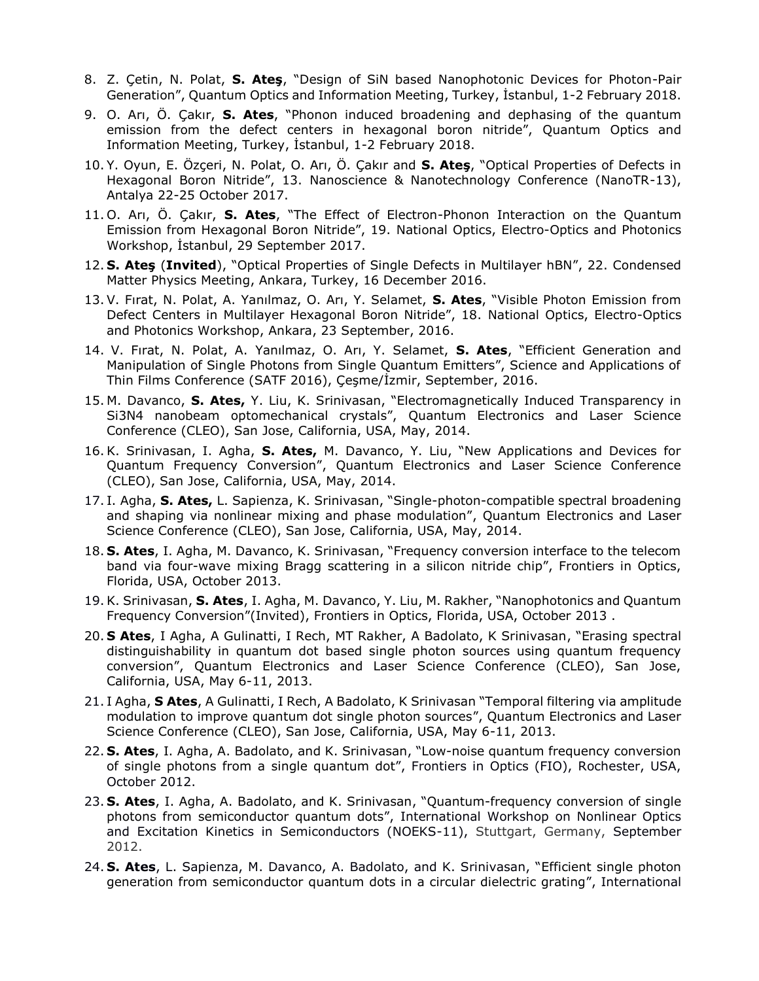- 8. Z. Çetin, N. Polat, **S. Ateş**, "Design of SiN based Nanophotonic Devices for Photon-Pair Generation", Quantum Optics and Information Meeting, Turkey, İstanbul, 1-2 February 2018.
- 9. O. Arı, Ö. Çakır, **S. Ates**, "Phonon induced broadening and dephasing of the quantum emission from the defect centers in hexagonal boron nitride", Quantum Optics and Information Meeting, Turkey, İstanbul, 1-2 February 2018.
- 10. Y. Oyun, E. Özçeri, N. Polat, O. Arı, Ö. Çakır and **S. Ateş**, "Optical Properties of Defects in Hexagonal Boron Nitride", 13. Nanoscience & Nanotechnology Conference (NanoTR-13), Antalya 22-25 October 2017.
- 11. O. Arı, Ö. Çakır, **S. Ates**, "The Effect of Electron-Phonon Interaction on the Quantum Emission from Hexagonal Boron Nitride", 19. National Optics, Electro-Optics and Photonics Workshop, İstanbul, 29 September 2017.
- 12. **S. Ateş** (**Invited**), "Optical Properties of Single Defects in Multilayer hBN", 22. Condensed Matter Physics Meeting, Ankara, Turkey, 16 December 2016.
- 13.V. Fırat, N. Polat, A. Yanılmaz, O. Arı, Y. Selamet, **S. Ates**, "Visible Photon Emission from Defect Centers in Multilayer Hexagonal Boron Nitride", 18. National Optics, Electro-Optics and Photonics Workshop, Ankara, 23 September, 2016.
- 14. V. Fırat, N. Polat, A. Yanılmaz, O. Arı, Y. Selamet, **S. Ates**, "Efficient Generation and Manipulation of Single Photons from Single Quantum Emitters", Science and Applications of Thin Films Conference (SATF 2016), Çeşme/İzmir, September, 2016.
- 15. M. Davanco, **S. Ates,** Y. Liu, K. Srinivasan, "Electromagnetically Induced Transparency in Si3N4 nanobeam optomechanical crystals", Quantum Electronics and Laser Science Conference (CLEO), San Jose, California, USA, May, 2014.
- 16.K. Srinivasan, I. Agha, **S. Ates,** M. Davanco, Y. Liu, "New Applications and Devices for Quantum Frequency Conversion", Quantum Electronics and Laser Science Conference (CLEO), San Jose, California, USA, May, 2014.
- 17. I. Agha, **S. Ates,** L. Sapienza, K. Srinivasan, "Single-photon-compatible spectral broadening and shaping via nonlinear mixing and phase modulation", Quantum Electronics and Laser Science Conference (CLEO), San Jose, California, USA, May, 2014.
- 18. **S. Ates**, I. Agha, M. Davanco, K. Srinivasan, "Frequency conversion interface to the telecom band via four-wave mixing Bragg scattering in a silicon nitride chip", Frontiers in Optics, Florida, USA, October 2013.
- 19.K. Srinivasan, **S. Ates**, I. Agha, M. Davanco, Y. Liu, M. Rakher, "Nanophotonics and Quantum Frequency Conversion"(Invited), Frontiers in Optics, Florida, USA, October 2013 .
- 20. **S Ates**, I Agha, A Gulinatti, I Rech, MT Rakher, A Badolato, K Srinivasan, "Erasing spectral distinguishability in quantum dot based single photon sources using quantum frequency conversion", Quantum Electronics and Laser Science Conference (CLEO), San Jose, California, USA, May 6-11, 2013.
- 21. I Agha, **S Ates**, A Gulinatti, I Rech, A Badolato, K Srinivasan "Temporal filtering via amplitude modulation to improve quantum dot single photon sources", Quantum Electronics and Laser Science Conference (CLEO), San Jose, California, USA, May 6-11, 2013.
- 22. **S. Ates**, I. Agha, A. Badolato, and K. Srinivasan, "Low-noise quantum frequency conversion of single photons from a single quantum dot", Frontiers in Optics (FIO), Rochester, USA, October 2012.
- 23. **S. Ates**, I. Agha, A. Badolato, and K. Srinivasan, "Quantum-frequency conversion of single photons from semiconductor quantum dots", International Workshop on Nonlinear Optics and Excitation Kinetics in Semiconductors (NOEKS-11), Stuttgart, Germany, September 2012.
- 24. **S. Ates**, L. Sapienza, M. Davanco, A. Badolato, and K. Srinivasan, "Efficient single photon generation from semiconductor quantum dots in a circular dielectric grating", International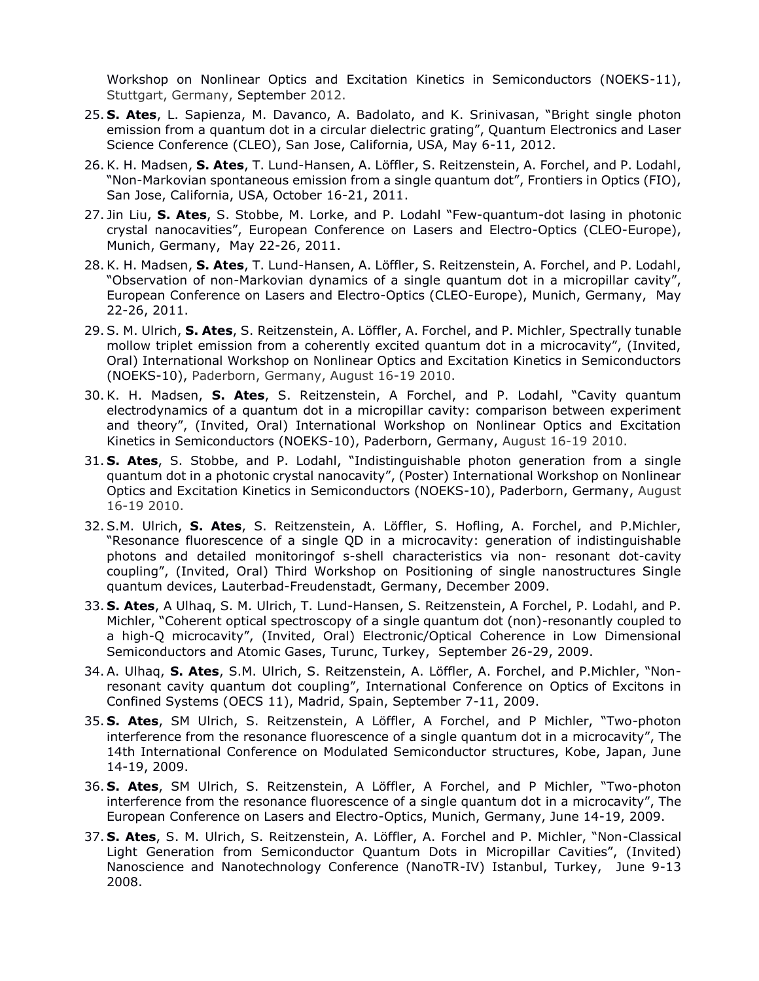Workshop on Nonlinear Optics and Excitation Kinetics in Semiconductors (NOEKS-11), Stuttgart, Germany, September 2012.

- 25. **S. Ates**, L. Sapienza, M. Davanco, A. Badolato, and K. Srinivasan, "Bright single photon emission from a quantum dot in a circular dielectric grating", Quantum Electronics and Laser Science Conference (CLEO), San Jose, California, USA, May 6-11, 2012.
- 26.K. H. Madsen, **S. Ates**, T. Lund-Hansen, A. Löffler, S. Reitzenstein, A. Forchel, and P. Lodahl, "Non-Markovian spontaneous emission from a single quantum dot", Frontiers in Optics (FIO), San Jose, California, USA, October 16-21, 2011.
- 27. Jin Liu, **S. Ates**, S. Stobbe, M. Lorke, and P. Lodahl "Few-quantum-dot lasing in photonic crystal nanocavities", European Conference on Lasers and Electro-Optics (CLEO-Europe), Munich, Germany, May 22-26, 2011.
- 28.K. H. Madsen, **S. Ates**, T. Lund-Hansen, A. Löffler, S. Reitzenstein, A. Forchel, and P. Lodahl, "Observation of non-Markovian dynamics of a single quantum dot in a micropillar cavity", European Conference on Lasers and Electro-Optics (CLEO-Europe), Munich, Germany, May 22-26, 2011.
- 29.S. M. Ulrich, **S. Ates**, S. Reitzenstein, A. Löffler, A. Forchel, and P. Michler, Spectrally tunable mollow triplet emission from a coherently excited quantum dot in a microcavity", (Invited, Oral) International Workshop on Nonlinear Optics and Excitation Kinetics in Semiconductors (NOEKS-10), Paderborn, Germany, August 16-19 2010.
- 30.K. H. Madsen, **S. Ates**, S. Reitzenstein, A Forchel, and P. Lodahl, "Cavity quantum electrodynamics of a quantum dot in a micropillar cavity: comparison between experiment and theory", (Invited, Oral) International Workshop on Nonlinear Optics and Excitation Kinetics in Semiconductors (NOEKS-10), Paderborn, Germany, August 16-19 2010.
- 31. **S. Ates**, S. Stobbe, and P. Lodahl, "Indistinguishable photon generation from a single quantum dot in a photonic crystal nanocavity", (Poster) International Workshop on Nonlinear Optics and Excitation Kinetics in Semiconductors (NOEKS-10), Paderborn, Germany, August 16-19 2010.
- 32.S.M. Ulrich, **S. Ates**, S. Reitzenstein, A. Löffler, S. Hofling, A. Forchel, and P.Michler, "Resonance fluorescence of a single QD in a microcavity: generation of indistinguishable photons and detailed monitoringof s-shell characteristics via non- resonant dot-cavity coupling", (Invited, Oral) Third Workshop on Positioning of single nanostructures Single quantum devices, Lauterbad-Freudenstadt, Germany, December 2009.
- 33. **S. Ates**, A Ulhaq, S. M. Ulrich, T. Lund-Hansen, S. Reitzenstein, A Forchel, P. Lodahl, and P. Michler, "Coherent optical spectroscopy of a single quantum dot (non)-resonantly coupled to a high-Q microcavity", (Invited, Oral) Electronic/Optical Coherence in Low Dimensional Semiconductors and Atomic Gases, Turunc, Turkey, September 26-29, 2009.
- 34.A. Ulhaq, **S. Ates**, S.M. Ulrich, S. Reitzenstein, A. Löffler, A. Forchel, and P.Michler, "Nonresonant cavity quantum dot coupling", International Conference on Optics of Excitons in Confined Systems (OECS 11), Madrid, Spain, September 7-11, 2009.
- 35. **S. Ates**, SM Ulrich, S. Reitzenstein, A Löffler, A Forchel, and P Michler, "Two-photon interference from the resonance fluorescence of a single quantum dot in a microcavity", The 14th International Conference on Modulated Semiconductor structures, Kobe, Japan, June 14-19, 2009.
- 36. **S. Ates**, SM Ulrich, S. Reitzenstein, A Löffler, A Forchel, and P Michler, "Two-photon interference from the resonance fluorescence of a single quantum dot in a microcavity", The European Conference on Lasers and Electro-Optics, Munich, Germany, June 14-19, 2009.
- 37. **S. Ates**, S. M. Ulrich, S. Reitzenstein, A. Löffler, A. Forchel and P. Michler, "Non-Classical Light Generation from Semiconductor Quantum Dots in Micropillar Cavities", (Invited) Nanoscience and Nanotechnology Conference (NanoTR-IV) Istanbul, Turkey, June 9-13 2008.